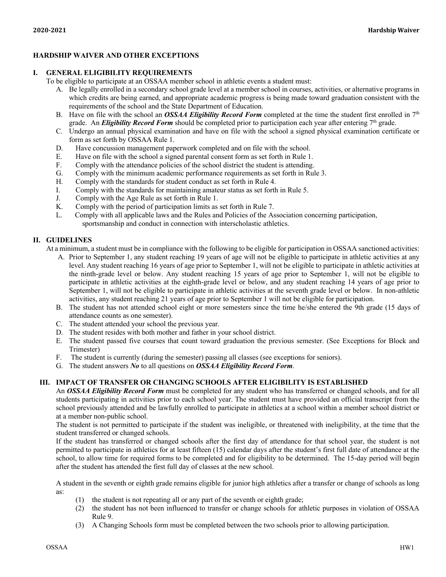### **HARDSHIP WAIVER AND OTHER EXCEPTIONS**

#### **I. GENERAL ELIGIBILITY REQUIREMENTS**

- To be eligible to participate at an OSSAA member school in athletic events a student must:
	- A. Be legally enrolled in a secondary school grade level at a member school in courses, activities, or alternative programs in which credits are being earned, and appropriate academic progress is being made toward graduation consistent with the requirements of the school and the State Department of Education.
	- B. Have on file with the school an *OSSAA Eligibility Record Form* completed at the time the student first enrolled in 7<sup>th</sup> grade. An *Eligibility Record Form* should be completed prior to participation each year after entering 7<sup>th</sup> grade.
	- C. Undergo an annual physical examination and have on file with the school a signed physical examination certificate or form as set forth by OSSAA Rule 1.
	- D. Have concussion management paperwork completed and on file with the school.
	- E. Have on file with the school a signed parental consent form as set forth in Rule 1.<br>F. Comply with the attendance policies of the school district the student is attending.
	- Comply with the attendance policies of the school district the student is attending.
	- G. Comply with the minimum academic performance requirements as set forth in Rule 3.
	- H. Comply with the standards for student conduct as set forth in Rule 4.
	- I. Comply with the standards for maintaining amateur status as set forth in Rule 5.
	- J. Comply with the Age Rule as set forth in Rule 1.
	- K. Comply with the period of participation limits as set forth in Rule 7.
	- L. Comply with all applicable laws and the Rules and Policies of the Association concerning participation, sportsmanship and conduct in connection with interscholastic athletics.

### **II. GUIDELINES**

At a minimum, a student must be in compliance with the following to be eligible for participation in OSSAA sanctioned activities:

- A. Prior to September 1, any student reaching 19 years of age will not be eligible to participate in athletic activities at any level. Any student reaching 16 years of age prior to September 1, will not be eligible to participate in athletic activities at the ninth-grade level or below. Any student reaching 15 years of age prior to September 1, will not be eligible to participate in athletic activities at the eighth-grade level or below, and any student reaching 14 years of age prior to September 1, will not be eligible to participate in athletic activities at the seventh grade level or below. In non-athletic activities, any student reaching 21 years of age prior to September 1 will not be eligible for participation.
- B. The student has not attended school eight or more semesters since the time he/she entered the 9th grade (15 days of attendance counts as one semester).
- C. The student attended your school the previous year.
- D. The student resides with both mother and father in your school district.
- E. The student passed five courses that count toward graduation the previous semester. (See Exceptions for Block and Trimester)
- F. The student is currently (during the semester) passing all classes (see exceptions for seniors).
- G. The student answers *No* to all questions on *OSSAA Eligibility Record Form*.

### **III. IMPACT OF TRANSFER OR CHANGING SCHOOLS AFTER ELIGIBILITY IS ESTABLISHED**

An *OSSAA Eligibility Record Form* must be completed for any student who has transferred or changed schools, and for all students participating in activities prior to each school year. The student must have provided an official transcript from the school previously attended and be lawfully enrolled to participate in athletics at a school within a member school district or at a member non-public school.

The student is not permitted to participate if the student was ineligible, or threatened with ineligibility, at the time that the student transferred or changed schools.

If the student has transferred or changed schools after the first day of attendance for that school year, the student is not permitted to participate in athletics for at least fifteen (15) calendar days after the student's first full date of attendance at the school, to allow time for required forms to be completed and for eligibility to be determined. The 15-day period will begin after the student has attended the first full day of classes at the new school.

A student in the seventh or eighth grade remains eligible for junior high athletics after a transfer or change of schools as long as:

- (1) the student is not repeating all or any part of the seventh or eighth grade;
- (2) the student has not been influenced to transfer or change schools for athletic purposes in violation of OSSAA Rule 9.
- (3) A Changing Schools form must be completed between the two schools prior to allowing participation.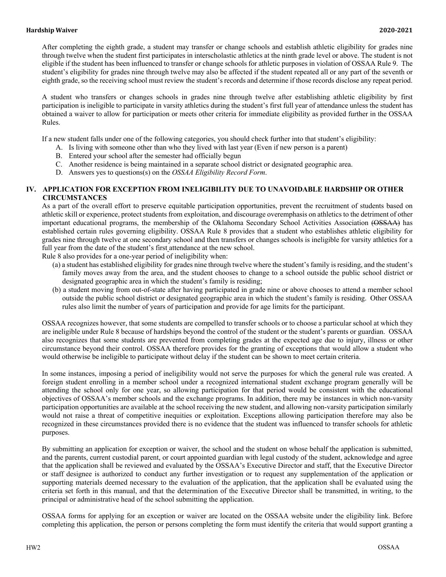After completing the eighth grade, a student may transfer or change schools and establish athletic eligibility for grades nine through twelve when the student first participates in interscholastic athletics at the ninth grade level or above. The student is not eligible if the student has been influenced to transfer or change schools for athletic purposes in violation of OSSAA Rule 9. The student's eligibility for grades nine through twelve may also be affected if the student repeated all or any part of the seventh or eighth grade, so the receiving school must review the student's records and determine if those records disclose any repeat period.

A student who transfers or changes schools in grades nine through twelve after establishing athletic eligibility by first participation is ineligible to participate in varsity athletics during the student's first full year of attendance unless the student has obtained a waiver to allow for participation or meets other criteria for immediate eligibility as provided further in the OSSAA Rules.

If a new student falls under one of the following categories, you should check further into that student's eligibility:

- A. Is living with someone other than who they lived with last year (Even if new person is a parent)
- B. Entered your school after the semester had officially begun
- C. Another residence is being maintained in a separate school district or designated geographic area.
- D. Answers yes to questions(s) on the *OSSAA Eligibility Record Form*.

### **IV. APPLICATION FOR EXCEPTION FROM INELIGIBILITY DUE TO UNAVOIDABLE HARDSHIP OR OTHER CIRCUMSTANCES**

As a part of the overall effort to preserve equitable participation opportunities, prevent the recruitment of students based on athletic skill or experience, protect students from exploitation, and discourage overemphasis on athletics to the detriment of other important educational programs, the membership of the Oklahoma Secondary School Activities Association (OSSAA) has established certain rules governing eligibility. OSSAA Rule 8 provides that a student who establishes athletic eligibility for grades nine through twelve at one secondary school and then transfers or changes schools is ineligible for varsity athletics for a full year from the date of the student's first attendance at the new school.

Rule 8 also provides for a one-year period of ineligibility when:

- (a) a student has established eligibility for grades nine through twelve where the student's family is residing, and the student's family moves away from the area, and the student chooses to change to a school outside the public school district or designated geographic area in which the student's family is residing;
- (b) a student moving from out-of-state after having participated in grade nine or above chooses to attend a member school outside the public school district or designated geographic area in which the student's family is residing. Other OSSAA rules also limit the number of years of participation and provide for age limits for the participant.

OSSAA recognizes however, that some students are compelled to transfer schools or to choose a particular school at which they are ineligible under Rule 8 because of hardships beyond the control of the student or the student's parents or guardian. OSSAA also recognizes that some students are prevented from completing grades at the expected age due to injury, illness or other circumstance beyond their control. OSSAA therefore provides for the granting of exceptions that would allow a student who would otherwise be ineligible to participate without delay if the student can be shown to meet certain criteria.

In some instances, imposing a period of ineligibility would not serve the purposes for which the general rule was created. A foreign student enrolling in a member school under a recognized international student exchange program generally will be attending the school only for one year, so allowing participation for that period would be consistent with the educational objectives of OSSAA's member schools and the exchange programs. In addition, there may be instances in which non-varsity participation opportunities are available at the school receiving the new student, and allowing non-varsity participation similarly would not raise a threat of competitive inequities or exploitation. Exceptions allowing participation therefore may also be recognized in these circumstances provided there is no evidence that the student was influenced to transfer schools for athletic purposes.

By submitting an application for exception or waiver, the school and the student on whose behalf the application is submitted, and the parents, current custodial parent, or court appointed guardian with legal custody of the student, acknowledge and agree that the application shall be reviewed and evaluated by the OSSAA's Executive Director and staff, that the Executive Director or staff designee is authorized to conduct any further investigation or to request any supplementation of the application or supporting materials deemed necessary to the evaluation of the application, that the application shall be evaluated using the criteria set forth in this manual, and that the determination of the Executive Director shall be transmitted, in writing, to the principal or administrative head of the school submitting the application.

OSSAA forms for applying for an exception or waiver are located on the OSSAA website under the eligibility link. Before completing this application, the person or persons completing the form must identify the criteria that would support granting a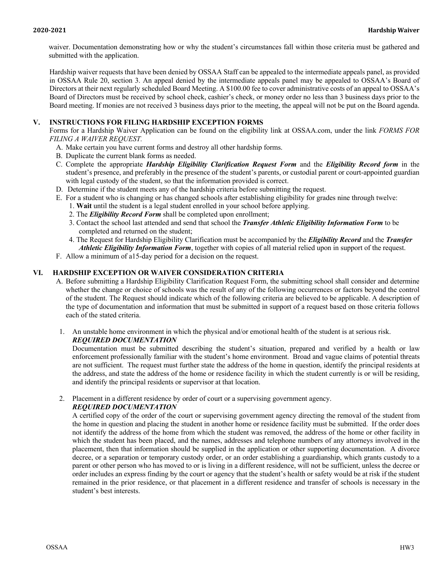waiver. Documentation demonstrating how or why the student's circumstances fall within those criteria must be gathered and submitted with the application.

Hardship waiver requests that have been denied by OSSAA Staff can be appealed to the intermediate appeals panel, as provided in OSSAA Rule 20, section 3. An appeal denied by the intermediate appeals panel may be appealed to OSSAA's Board of Directors at their next regularly scheduled Board Meeting. A \$100.00 fee to cover administrative costs of an appeal to OSSAA's Board of Directors must be received by school check, cashier's check, or money order no less than 3 business days prior to the Board meeting. If monies are not received 3 business days prior to the meeting, the appeal will not be put on the Board agenda.

### **V. INSTRUCTIONS FOR FILING HARDSHIP EXCEPTION FORMS**

Forms for a Hardship Waiver Application can be found on the eligibility link at OSSAA.com, under the link *FORMS FOR FILING A WAIVER REQUEST.*

- A. Make certain you have current forms and destroy all other hardship forms.
- B. Duplicate the current blank forms as needed.
- C. Complete the appropriate *Hardship Eligibility Clarification Request Form* and the *Eligibility Record form* in the student's presence, and preferably in the presence of the student's parents, or custodial parent or court-appointed guardian with legal custody of the student, so that the information provided is correct.
- D. Determine if the student meets any of the hardship criteria before submitting the request.
- E. For a student who is changing or has changed schools after establishing eligibility for grades nine through twelve:
	- 1. **Wait** until the student is a legal student enrolled in your school before applying.
	- 2. The *Eligibility Record Form* shall be completed upon enrollment;
	- 3. Contact the school last attended and send that school the *Transfer Athletic Eligibility Information Form* to be completed and returned on the student;
	- 4. The Request for Hardship Eligibility Clarification must be accompanied by the *Eligibility Record* and the *Transfer Athletic Eligibility Information Form*, together with copies of all material relied upon in support of the request.
- F. Allow a minimum of a15-day period for a decision on the request.

### **VI. HARDSHIP EXCEPTION OR WAIVER CONSIDERATION CRITERIA**

- A. Before submitting a Hardship Eligibility Clarification Request Form, the submitting school shall consider and determine whether the change or choice of schools was the result of any of the following occurrences or factors beyond the control of the student. The Request should indicate which of the following criteria are believed to be applicable. A description of the type of documentation and information that must be submitted in support of a request based on those criteria follows each of the stated criteria.
- 1. An unstable home environment in which the physical and/or emotional health of the student is at serious risk. *REQUIRED DOCUMENTATION*

Documentation must be submitted describing the student's situation, prepared and verified by a health or law enforcement professionally familiar with the student's home environment. Broad and vague claims of potential threats are not sufficient. The request must further state the address of the home in question, identify the principal residents at the address, and state the address of the home or residence facility in which the student currently is or will be residing, and identify the principal residents or supervisor at that location.

2. Placement in a different residence by order of court or a supervising government agency.

## *REQUIRED DOCUMENTATION*

A certified copy of the order of the court or supervising government agency directing the removal of the student from the home in question and placing the student in another home or residence facility must be submitted. If the order does not identify the address of the home from which the student was removed, the address of the home or other facility in which the student has been placed, and the names, addresses and telephone numbers of any attorneys involved in the placement, then that information should be supplied in the application or other supporting documentation. A divorce decree, or a separation or temporary custody order, or an order establishing a guardianship, which grants custody to a parent or other person who has moved to or is living in a different residence, will not be sufficient, unless the decree or order includes an express finding by the court or agency that the student's health or safety would be at risk if the student remained in the prior residence, or that placement in a different residence and transfer of schools is necessary in the student's best interests.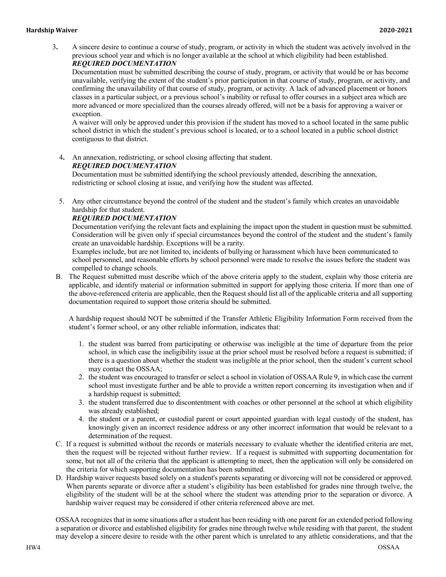#### **Hardship Waiver 2020-2021**

3**.** A sincere desire to continue a course of study, program, or activity in which the student was actively involved in the previous school year and which is no longer available at the school at which eligibility had been established. *REQUIRED DOCUMENTATION*

Documentation must be submitted describing the course of study, program, or activity that would be or has become unavailable, verifying the extent of the student's prior participation in that course of study, program, or activity, and confirming the unavailability of that course of study, program, or activity. A lack of advanced placement or honors classes in a particular subject, or a previous school's inability or refusal to offer courses in a subject area which are more advanced or more specialized than the courses already offered, will not be a basis for approving a waiver or exception.

A waiver will only be approved under this provision if the student has moved to a school located in the same public school district in which the student's previous school is located, or to a school located in a public school district contiguous to that district.

4**.** An annexation, redistricting, or school closing affecting that student.

### *REQUIRED DOCUMENTATION*

Documentation must be submitted identifying the school previously attended, describing the annexation, redistricting or school closing at issue, and verifying how the student was affected.

5. Any other circumstance beyond the control of the student and the student's family which creates an unavoidable hardship for that student.

### *REQUIRED DOCUMENTATION*

Documentation verifying the relevant facts and explaining the impact upon the student in question must be submitted. Consideration will be given only if special circumstances beyond the control of the student and the student's family create an unavoidable hardship. Exceptions will be a rarity.

Examples include, but are not limited to, incidents of bullying or harassment which have been communicated to school personnel, and reasonable efforts by school personnel were made to resolve the issues before the student was compelled to change schools.

B. The Request submitted must describe which of the above criteria apply to the student, explain why those criteria are applicable, and identify material or information submitted in support for applying those criteria. If more than one of the above-referenced criteria are applicable, then the Request should list all of the applicable criteria and all supporting documentation required to support those criteria should be submitted.

A hardship request should NOT be submitted if the Transfer Athletic Eligibility Information Form received from the student's former school, or any other reliable information, indicates that:

- 1. the student was barred from participating or otherwise was ineligible at the time of departure from the prior school, in which case the ineligibility issue at the prior school must be resolved before a request is submitted; if there is a question about whether the student was ineligible at the prior school, then the student's current school may contact the OSSAA;
- 2. the student was encouraged to transfer or select a school in violation of OSSAA Rule 9, in which case the current school must investigate further and be able to provide a written report concerning its investigation when and if a hardship request is submitted;
- 3. the student transferred due to discontentment with coaches or other personnel at the school at which eligibility was already established;
- 4. the student or a parent, or custodial parent or court appointed guardian with legal custody of the student, has knowingly given an incorrect residence address or any other incorrect information that would be relevant to a determination of the request.
- C. If a request is submitted without the records or materials necessary to evaluate whether the identified criteria are met, then the request will be rejected without further review. If a request is submitted with supporting documentation for some, but not all of the criteria that the applicant is attempting to meet, then the application will only be considered on the criteria for which supporting documentation has been submitted.
- D. Hardship waiver requests based solely on a student's parents separating or divorcing will not be considered or approved. When parents separate or divorce after a student's eligibility has been established for grades nine through twelve, the eligibility of the student will be at the school where the student was attending prior to the separation or divorce. A hardship waiver request may be considered if other criteria referenced above are met.

OSSAA recognizes that in some situations after a student has been residing with one parent for an extended period following a separation or divorce and established eligibility for grades nine through twelve while residing with that parent, the student may develop a sincere desire to reside with the other parent which is unrelated to any athletic considerations, and that the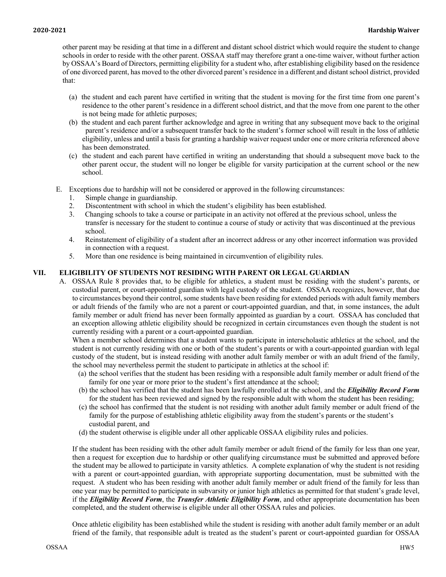other parent may be residing at that time in a different and distant school district which would require the student to change schools in order to reside with the other parent. OSSAA staff may therefore grant a one-time waiver, without further action by OSSAA's Board of Directors, permitting eligibility for a student who, after establishing eligibility based on the residence of one divorced parent, has moved to the other divorced parent's residence in a different and distant school district, provided that:

- (a) the student and each parent have certified in writing that the student is moving for the first time from one parent's residence to the other parent's residence in a different school district, and that the move from one parent to the other is not being made for athletic purposes;
- (b) the student and each parent further acknowledge and agree in writing that any subsequent move back to the original parent's residence and/or a subsequent transfer back to the student's former school will result in the loss of athletic eligibility, unless and until a basis for granting a hardship waiver request under one or more criteria referenced above has been demonstrated.
- (c) the student and each parent have certified in writing an understanding that should a subsequent move back to the other parent occur, the student will no longer be eligible for varsity participation at the current school or the new school.
- E. Exceptions due to hardship will not be considered or approved in the following circumstances:
	- 1. Simple change in guardianship.
	- 2. Discontentment with school in which the student's eligibility has been established.
	- 3. Changing schools to take a course or participate in an activity not offered at the previous school, unless the transfer is necessary for the student to continue a course of study or activity that was discontinued at the previous school.
	- 4. Reinstatement of eligibility of a student after an incorrect address or any other incorrect information was provided in connection with a request.
	- 5. More than one residence is being maintained in circumvention of eligibility rules.

## **VII. ELIGIBILITY OF STUDENTS NOT RESIDING WITH PARENT OR LEGAL GUARDIAN**

A. OSSAA Rule 8 provides that, to be eligible for athletics, a student must be residing with the student's parents, or custodial parent, or court-appointed guardian with legal custody of the student. OSSAA recognizes, however, that due to circumstances beyond their control, some students have been residing for extended periods with adult family members or adult friends of the family who are not a parent or court-appointed guardian, and that, in some instances, the adult family member or adult friend has never been formally appointed as guardian by a court. OSSAA has concluded that an exception allowing athletic eligibility should be recognized in certain circumstances even though the student is not currently residing with a parent or a court-appointed guardian.

When a member school determines that a student wants to participate in interscholastic athletics at the school, and the student is not currently residing with one or both of the student's parents or with a court-appointed guardian with legal custody of the student, but is instead residing with another adult family member or with an adult friend of the family, the school may nevertheless permit the student to participate in athletics at the school if:

- (a) the school verifies that the student has been residing with a responsible adult family member or adult friend of the family for one year or more prior to the student's first attendance at the school;
- (b) the school has verified that the student has been lawfully enrolled at the school, and the *Eligibility Record Form* for the student has been reviewed and signed by the responsible adult with whom the student has been residing;
- (c) the school has confirmed that the student is not residing with another adult family member or adult friend of the family for the purpose of establishing athletic eligibility away from the student's parents or the student's custodial parent, and
- (d) the student otherwise is eligible under all other applicable OSSAA eligibility rules and policies.

If the student has been residing with the other adult family member or adult friend of the family for less than one year, then a request for exception due to hardship or other qualifying circumstance must be submitted and approved before the student may be allowed to participate in varsity athletics. A complete explanation of why the student is not residing with a parent or court-appointed guardian, with appropriate supporting documentation, must be submitted with the request. A student who has been residing with another adult family member or adult friend of the family for less than one year may be permitted to participate in subvarsity or junior high athletics as permitted for that student's grade level, if the *Eligibility Record Form*, the *Transfer Athletic Eligibility Form*, and other appropriate documentation has been completed, and the student otherwise is eligible under all other OSSAA rules and policies.

Once athletic eligibility has been established while the student is residing with another adult family member or an adult friend of the family, that responsible adult is treated as the student's parent or court-appointed guardian for OSSAA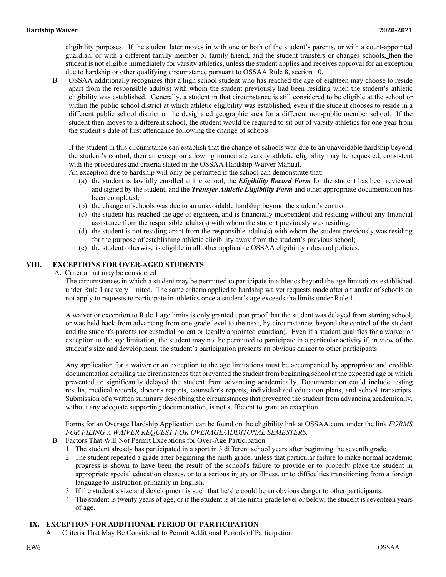eligibility purposes. If the student later moves in with one or both of the student's parents, or with a court-appointed guardian, or with a different family member or family friend, and the student transfers or changes schools, then the student is not eligible immediately for varsity athletics, unless the student applies and receives approval for an exception due to hardship or other qualifying circumstance pursuant to OSSAA Rule 8, section 10.

B. OSSAA additionally recognizes that a high school student who has reached the age of eighteen may choose to reside apart from the responsible adult(s) with whom the student previously had been residing when the student's athletic eligibility was established. Generally, a student in that circumstance is still considered to be eligible at the school or within the public school district at which athletic eligibility was established, even if the student chooses to reside in a different public school district or the designated geographic area for a different non-public member school. If the student then moves to a different school, the student would be required to sit out of varsity athletics for one year from the student's date of first attendance following the change of schools.

If the student in this circumstance can establish that the change of schools was due to an unavoidable hardship beyond the student's control, then an exception allowing immediate varsity athletic eligibility may be requested, consistent with the procedures and criteria stated in the OSSAA Hardship Waiver Manual.

An exception due to hardship will only be permitted if the school can demonstrate that:

- (a) the student is lawfully enrolled at the school, the *Eligibility Record Form* for the student has been reviewed and signed by the student, and the *Transfer Athletic Eligibility Form* and other appropriate documentation has been completed;
- (b) the change of schools was due to an unavoidable hardship beyond the student's control;
- (c) the student has reached the age of eighteen, and is financially independent and residing without any financial assistance from the responsible adults(s) with whom the student previously was residing;
- (d) the student is not residing apart from the responsible adults(s) with whom the student previously was residing for the purpose of establishing athletic eligibility away from the student's previous school;
- (e) the student otherwise is eligible in all other applicable OSSAA eligibility rules and policies.

### **VIII. EXCEPTIONS FOR OVER-AGED STUDENTS**

A. Criteria that may be considered

The circumstances in which a student may be permitted to participate in athletics beyond the age limitations established under Rule 1 are very limited. The same criteria applied to hardship waiver requests made after a transfer of schools do not apply to requests to participate in athletics once a student's age exceeds the limits under Rule 1.

A waiver or exception to Rule 1 age limits is only granted upon proof that the student was delayed from starting school, or was held back from advancing from one grade level to the next, by circumstances beyond the control of the student and the student's parents (or custodial parent or legally appointed guardian). Even if a student qualifies for a waiver or exception to the age limitation, the student may not be permitted to participate in a particular activity if, in view of the student's size and development, the student's participation presents an obvious danger to other participants.

Any application for a waiver or an exception to the age limitations must be accompanied by appropriate and credible documentation detailing the circumstances that prevented the student from beginning school at the expected age or which prevented or significantly delayed the student from advancing academically. Documentation could include testing results, medical records, doctor's reports, counselor's reports, individualized education plans, and school transcripts. Submission of a written summary describing the circumstances that prevented the student from advancing academically, without any adequate supporting documentation, is not sufficient to grant an exception.

Forms for an Overage Hardship Application can be found on the eligibility link at OSSAA.com, under the link *FORMS FOR FILING A WAIVER REQUEST FOR OVERAGE/ADDITONAL SEMESTERS.*

- B. Factors That Will Not Permit Exceptions for Over-Age Participation
	- 1. The student already has participated in a sport in 3 different school years after beginning the seventh grade.
	- 2. The student repeated a grade after beginning the ninth grade, unless that particular failure to make normal academic progress is shown to have been the result of the school's failure to provide or to properly place the student in appropriate special education classes, or to a serious injury or illness, or to difficulties transitioning from a foreign language to instruction primarily in English.
	- 3. If the student's size and development is such that he/she could be an obvious danger to other participants.
	- 4. The student is twenty years of age, or if the student is at the ninth-grade level or below, the student is seventeen years of age.

### **IX. EXCEPTION FOR ADDITIONAL PERIOD OF PARTICIPATION**

A. Criteria That May Be Considered to Permit Additional Periods of Participation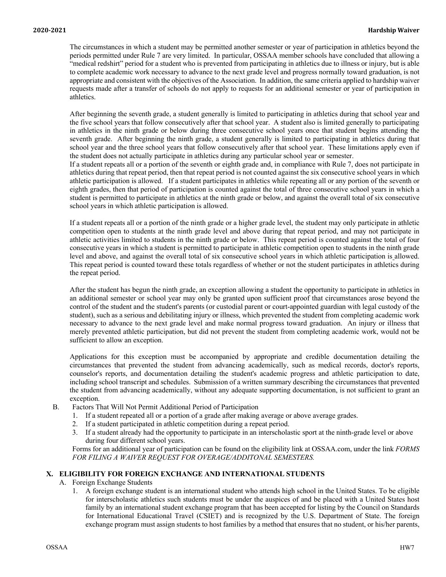The circumstances in which a student may be permitted another semester or year of participation in athletics beyond the periods permitted under Rule 7 are very limited. In particular, OSSAA member schools have concluded that allowing a "medical redshirt" period for a student who is prevented from participating in athletics due to illness or injury, but is able to complete academic work necessary to advance to the next grade level and progress normally toward graduation, is not appropriate and consistent with the objectives of the Association. In addition, the same criteria applied to hardship waiver requests made after a transfer of schools do not apply to requests for an additional semester or year of participation in athletics.

After beginning the seventh grade, a student generally is limited to participating in athletics during that school year and the five school years that follow consecutively after that school year. A student also is limited generally to participating in athletics in the ninth grade or below during three consecutive school years once that student begins attending the seventh grade. After beginning the ninth grade, a student generally is limited to participating in athletics during that school year and the three school years that follow consecutively after that school year. These limitations apply even if the student does not actually participate in athletics during any particular school year or semester.

If a student repeats all or a portion of the seventh or eighth grade and, in compliance with Rule 7, does not participate in athletics during that repeat period, then that repeat period is not counted against the six consecutive school years in which athletic participation is allowed. If a student participates in athletics while repeating all or any portion of the seventh or eighth grades, then that period of participation is counted against the total of three consecutive school years in which a student is permitted to participate in athletics at the ninth grade or below, and against the overall total of six consecutive school years in which athletic participation is allowed.

If a student repeats all or a portion of the ninth grade or a higher grade level, the student may only participate in athletic competition open to students at the ninth grade level and above during that repeat period, and may not participate in athletic activities limited to students in the ninth grade or below. This repeat period is counted against the total of four consecutive years in which a student is permitted to participate in athletic competition open to students in the ninth grade level and above, and against the overall total of six consecutive school years in which athletic participation is allowed. This repeat period is counted toward these totals regardless of whether or not the student participates in athletics during the repeat period.

After the student has begun the ninth grade, an exception allowing a student the opportunity to participate in athletics in an additional semester or school year may only be granted upon sufficient proof that circumstances arose beyond the control of the student and the student's parents (or custodial parent or court-appointed guardian with legal custody of the student), such as a serious and debilitating injury or illness, which prevented the student from completing academic work necessary to advance to the next grade level and make normal progress toward graduation. An injury or illness that merely prevented athletic participation, but did not prevent the student from completing academic work, would not be sufficient to allow an exception.

Applications for this exception must be accompanied by appropriate and credible documentation detailing the circumstances that prevented the student from advancing academically, such as medical records, doctor's reports, counselor's reports, and documentation detailing the student's academic progress and athletic participation to date, including school transcript and schedules. Submission of a written summary describing the circumstances that prevented the student from advancing academically, without any adequate supporting documentation, is not sufficient to grant an exception.

- B. Factors That Will Not Permit Additional Period of Participation
	- 1. If a student repeated all or a portion of a grade after making average or above average grades.
	- 2. If a student participated in athletic competition during a repeat period.
	- 3. If a student already had the opportunity to participate in an interscholastic sport at the ninth-grade level or above during four different school years.

Forms for an additional year of participation can be found on the eligibility link at OSSAA.com, under the link *FORMS FOR FILING A WAIVER REQUEST FOR OVERAGE/ADDITONAL SEMESTERS.*

### **X. ELIGIBILITY FOR FOREIGN EXCHANGE AND INTERNATIONAL STUDENTS**

- A. Foreign Exchange Students
	- 1. A foreign exchange student is an international student who attends high school in the United States. To be eligible for interscholastic athletics such students must be under the auspices of and be placed with a United States host family by an international student exchange program that has been accepted for listing by the Council on Standards for International Educational Travel (CSIET) and is recognized by the U.S. Department of State. The foreign exchange program must assign students to host families by a method that ensures that no student, or his/her parents,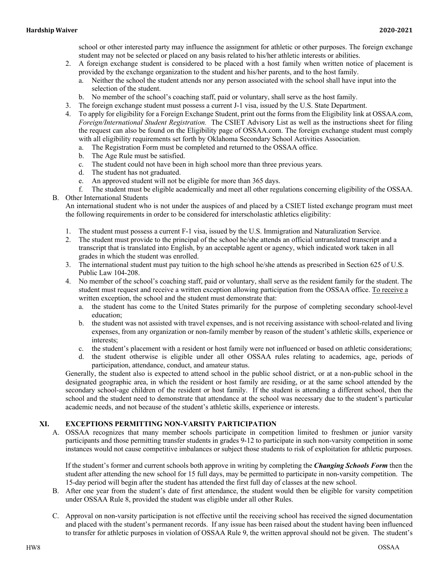school or other interested party may influence the assignment for athletic or other purposes. The foreign exchange student may not be selected or placed on any basis related to his/her athletic interests or abilities.

- 2. A foreign exchange student is considered to be placed with a host family when written notice of placement is provided by the exchange organization to the student and his/her parents, and to the host family.
	- a. Neither the school the student attends nor any person associated with the school shall have input into the selection of the student.
	- b. No member of the school's coaching staff, paid or voluntary, shall serve as the host family.
- 3. The foreign exchange student must possess a current J-1 visa, issued by the U.S. State Department.
- 4. To apply for eligibility for a Foreign Exchange Student, print out the forms from the Eligibility link at OSSAA.com, *Foreign/International Student Registration.* The CSIET Advisory List as well as the instructions sheet for filing the request can also be found on the Eligibility page of OSSAA.com. The foreign exchange student must comply with all eligibility requirements set forth by Oklahoma Secondary School Activities Association.
	- a. The Registration Form must be completed and returned to the OSSAA office.
	- b. The Age Rule must be satisfied.
	- c. The student could not have been in high school more than three previous years.
	- d. The student has not graduated.
	- e. An approved student will not be eligible for more than 365 days.
- f. The student must be eligible academically and meet all other regulations concerning eligibility of the OSSAA.
- B. Other International Students

An international student who is not under the auspices of and placed by a CSIET listed exchange program must meet the following requirements in order to be considered for interscholastic athletics eligibility:

- 1. The student must possess a current F-1 visa, issued by the U.S. Immigration and Naturalization Service.
- 2. The student must provide to the principal of the school he/she attends an official untranslated transcript and a transcript that is translated into English, by an acceptable agent or agency, which indicated work taken in all grades in which the student was enrolled.
- 3. The international student must pay tuition to the high school he/she attends as prescribed in Section 625 of U.S. Public Law 104-208.
- 4. No member of the school's coaching staff, paid or voluntary, shall serve as the resident family for the student. The student must request and receive a written exception allowing participation from the OSSAA office. To receive a written exception, the school and the student must demonstrate that:
	- a. the student has come to the United States primarily for the purpose of completing secondary school-level education;
	- b. the student was not assisted with travel expenses, and is not receiving assistance with school-related and living expenses, from any organization or non-family member by reason of the student's athletic skills, experience or interests;
	- c. the student's placement with a resident or host family were not influenced or based on athletic considerations;
	- d. the student otherwise is eligible under all other OSSAA rules relating to academics, age, periods of participation, attendance, conduct, and amateur status.

Generally, the student also is expected to attend school in the public school district, or at a non-public school in the designated geographic area, in which the resident or host family are residing, or at the same school attended by the secondary school-age children of the resident or host family. If the student is attending a different school, then the school and the student need to demonstrate that attendance at the school was necessary due to the student's particular academic needs, and not because of the student's athletic skills, experience or interests.

### **XI. EXCEPTIONS PERMITTING NON-VARSITY PARTICIPATION**

A. OSSAA recognizes that many member schools participate in competition limited to freshmen or junior varsity participants and those permitting transfer students in grades 9-12 to participate in such non-varsity competition in some instances would not cause competitive imbalances or subject those students to risk of exploitation for athletic purposes.

If the student's former and current schools both approve in writing by completing the *Changing Schools Form* then the student after attending the new school for 15 full days, may be permitted to participate in non-varsity competition. The 15-day period will begin after the student has attended the first full day of classes at the new school.

- B. After one year from the student's date of first attendance, the student would then be eligible for varsity competition under OSSAA Rule 8, provided the student was eligible under all other Rules.
- C. Approval on non-varsity participation is not effective until the receiving school has received the signed documentation and placed with the student's permanent records. If any issue has been raised about the student having been influenced to transfer for athletic purposes in violation of OSSAA Rule 9, the written approval should not be given. The student's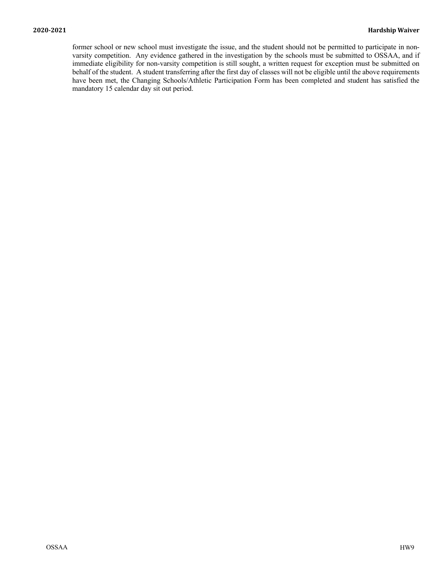former school or new school must investigate the issue, and the student should not be permitted to participate in nonvarsity competition. Any evidence gathered in the investigation by the schools must be submitted to OSSAA, and if immediate eligibility for non-varsity competition is still sought, a written request for exception must be submitted on behalf of the student. A student transferring after the first day of classes will not be eligible until the above requirements have been met, the Changing Schools/Athletic Participation Form has been completed and student has satisfied the mandatory 15 calendar day sit out period.